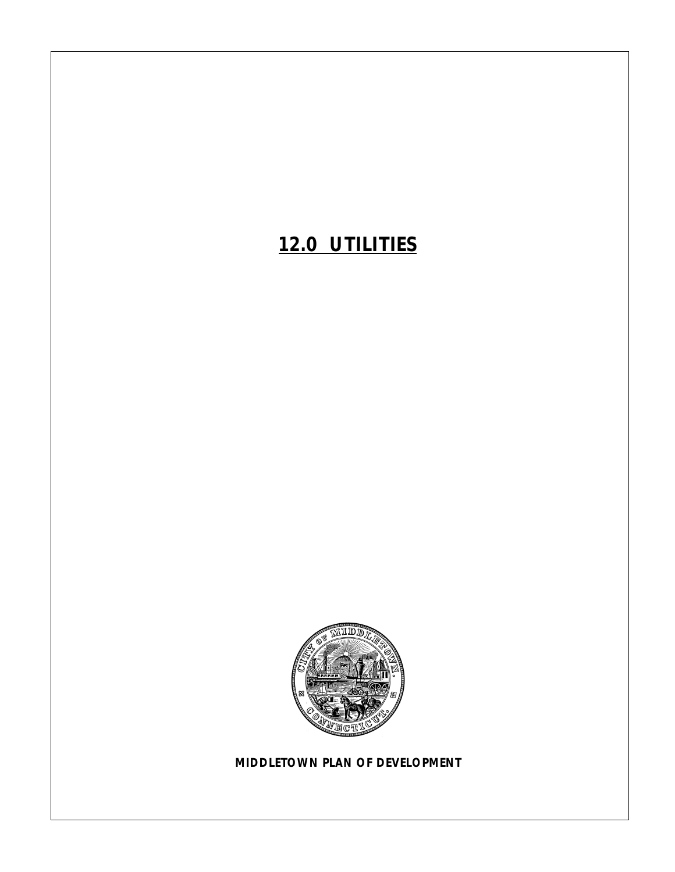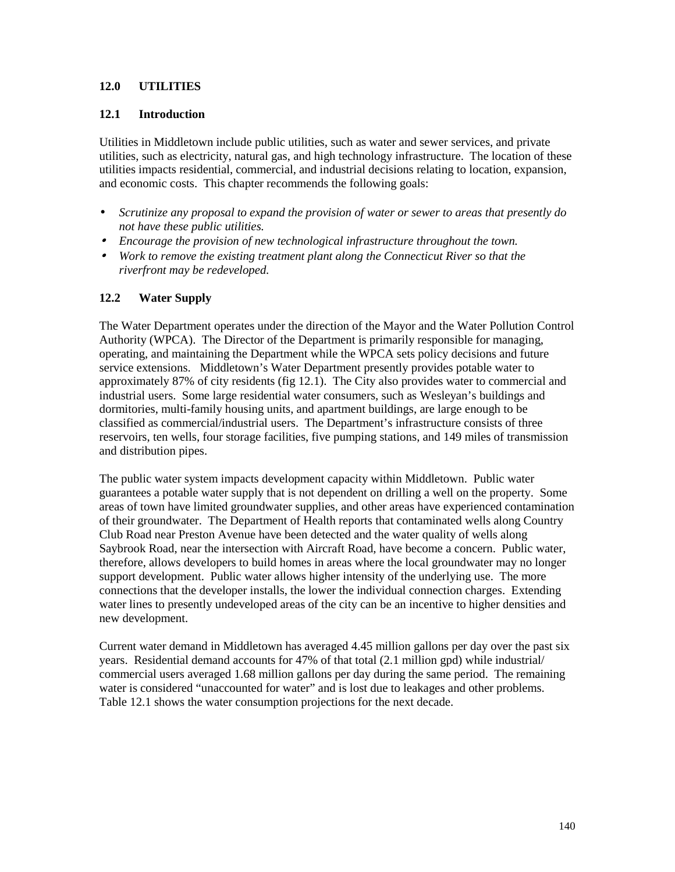### **12.0 UTILITIES**

#### **12.1 Introduction**

Utilities in Middletown include public utilities, such as water and sewer services, and private utilities, such as electricity, natural gas, and high technology infrastructure. The location of these utilities impacts residential, commercial, and industrial decisions relating to location, expansion, and economic costs. This chapter recommends the following goals:

- *Scrutinize any proposal to expand the provision of water or sewer to areas that presently do not have these public utilities.*
- • *Encourage the provision of new technological infrastructure throughout the town.*
- • *Work to remove the existing treatment plant along the Connecticut River so that the riverfront may be redeveloped.*

### **12.2 Water Supply**

The Water Department operates under the direction of the Mayor and the Water Pollution Control Authority (WPCA). The Director of the Department is primarily responsible for managing, operating, and maintaining the Department while the WPCA sets policy decisions and future service extensions. Middletown's Water Department presently provides potable water to approximately 87% of city residents (fig 12.1). The City also provides water to commercial and industrial users. Some large residential water consumers, such as Wesleyan's buildings and dormitories, multi-family housing units, and apartment buildings, are large enough to be classified as commercial/industrial users. The Department's infrastructure consists of three reservoirs, ten wells, four storage facilities, five pumping stations, and 149 miles of transmission and distribution pipes.

The public water system impacts development capacity within Middletown. Public water guarantees a potable water supply that is not dependent on drilling a well on the property. Some areas of town have limited groundwater supplies, and other areas have experienced contamination of their groundwater. The Department of Health reports that contaminated wells along Country Club Road near Preston Avenue have been detected and the water quality of wells along Saybrook Road, near the intersection with Aircraft Road, have become a concern. Public water, therefore, allows developers to build homes in areas where the local groundwater may no longer support development. Public water allows higher intensity of the underlying use. The more connections that the developer installs, the lower the individual connection charges. Extending water lines to presently undeveloped areas of the city can be an incentive to higher densities and new development.

Current water demand in Middletown has averaged 4.45 million gallons per day over the past six years. Residential demand accounts for 47% of that total (2.1 million gpd) while industrial/ commercial users averaged 1.68 million gallons per day during the same period. The remaining water is considered "unaccounted for water" and is lost due to leakages and other problems. Table 12.1 shows the water consumption projections for the next decade.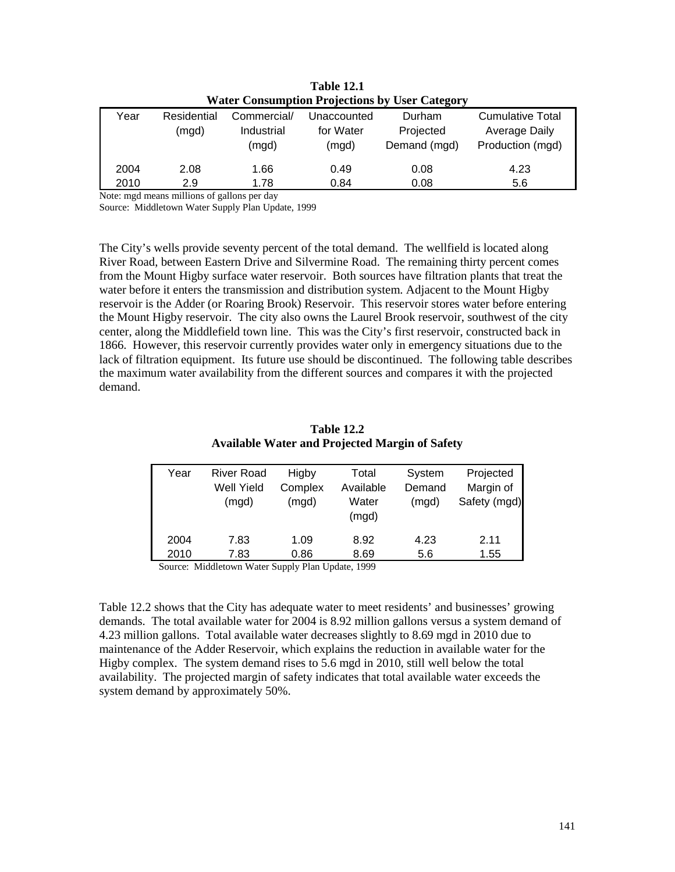| <b>Water Consumption Projections by User Category</b> |             |             |             |              |                         |  |  |  |
|-------------------------------------------------------|-------------|-------------|-------------|--------------|-------------------------|--|--|--|
| Year                                                  | Residential | Commercial/ | Unaccounted | Durham       | <b>Cumulative Total</b> |  |  |  |
|                                                       | (mgd)       | Industrial  | for Water   | Projected    | Average Daily           |  |  |  |
|                                                       |             | (mgd)       | (mgd)       | Demand (mgd) | Production (mgd)        |  |  |  |
| 2004                                                  | 2.08        | 1.66        | 0.49        | 0.08         | 4.23                    |  |  |  |
| 2010                                                  | 2.9         | 1.78        | 0.84        | 0.08         | 5.6                     |  |  |  |

**Table 12.1** 

Note: mgd means millions of gallons per day

Source: Middletown Water Supply Plan Update, 1999

The City's wells provide seventy percent of the total demand. The wellfield is located along River Road, between Eastern Drive and Silvermine Road. The remaining thirty percent comes from the Mount Higby surface water reservoir. Both sources have filtration plants that treat the water before it enters the transmission and distribution system. Adjacent to the Mount Higby reservoir is the Adder (or Roaring Brook) Reservoir. This reservoir stores water before entering the Mount Higby reservoir. The city also owns the Laurel Brook reservoir, southwest of the city center, along the Middlefield town line. This was the City's first reservoir, constructed back in 1866. However, this reservoir currently provides water only in emergency situations due to the lack of filtration equipment. Its future use should be discontinued. The following table describes the maximum water availability from the different sources and compares it with the projected demand.

| <b>Table 12.2</b>                                     |
|-------------------------------------------------------|
| <b>Available Water and Projected Margin of Safety</b> |

| Year | <b>River Road</b><br>Well Yield | Higby            | Total<br>Available | System<br>Demand | Projected<br>Margin of |
|------|---------------------------------|------------------|--------------------|------------------|------------------------|
|      | (mgd)                           | Complex<br>(mgd) | Water              | (mgd)            | Safety (mgd)           |
|      |                                 |                  | (mgd)              |                  |                        |
| 2004 | 7.83                            | 1.09             | 8.92               | 4.23             | 2.11                   |
| 2010 | 7.83                            | 0.86             | 8.69               | 5.6              | 1.55                   |

Source: Middletown Water Supply Plan Update, 1999

Table 12.2 shows that the City has adequate water to meet residents' and businesses' growing demands. The total available water for 2004 is 8.92 million gallons versus a system demand of 4.23 million gallons. Total available water decreases slightly to 8.69 mgd in 2010 due to maintenance of the Adder Reservoir, which explains the reduction in available water for the Higby complex. The system demand rises to 5.6 mgd in 2010, still well below the total availability. The projected margin of safety indicates that total available water exceeds the system demand by approximately 50%.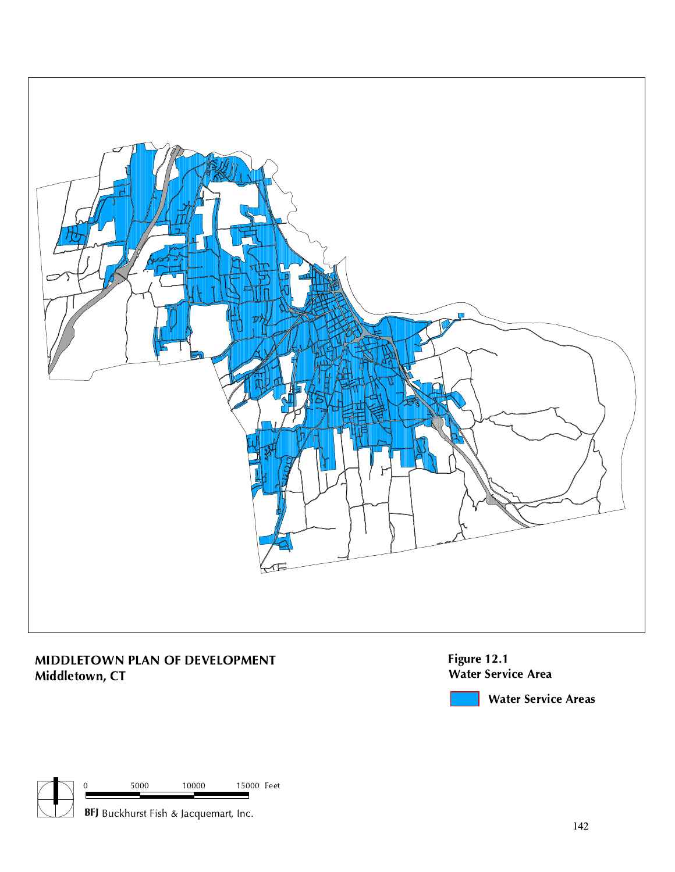

# MIDDLETOWN PLAN OF DEVELOPMENT Middletown, CT

Figure 12.1 Water Service Area

Water Service Areas

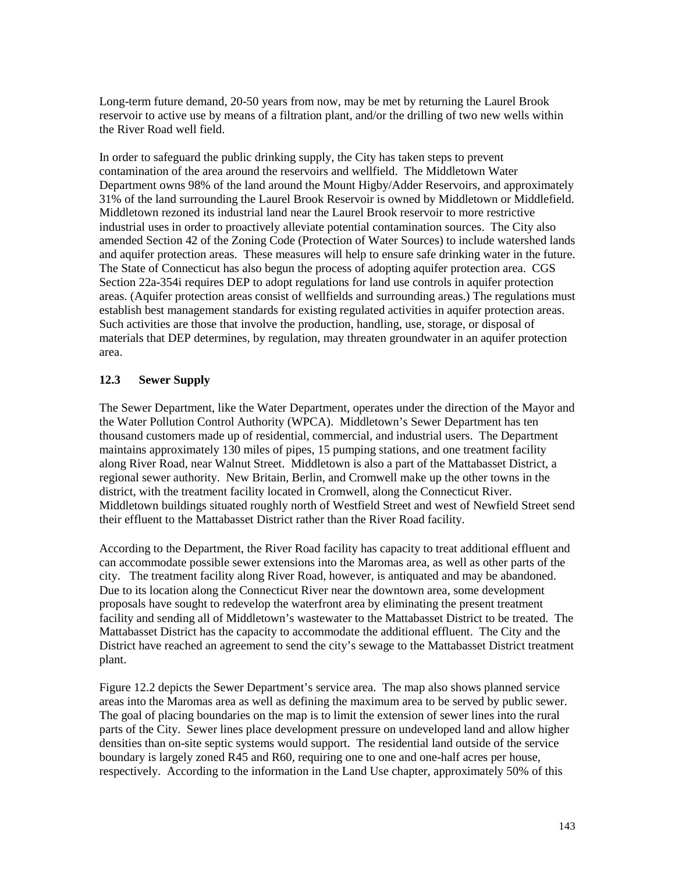Long-term future demand, 20-50 years from now, may be met by returning the Laurel Brook reservoir to active use by means of a filtration plant, and/or the drilling of two new wells within the River Road well field.

In order to safeguard the public drinking supply, the City has taken steps to prevent contamination of the area around the reservoirs and wellfield. The Middletown Water Department owns 98% of the land around the Mount Higby/Adder Reservoirs, and approximately 31% of the land surrounding the Laurel Brook Reservoir is owned by Middletown or Middlefield. Middletown rezoned its industrial land near the Laurel Brook reservoir to more restrictive industrial uses in order to proactively alleviate potential contamination sources. The City also amended Section 42 of the Zoning Code (Protection of Water Sources) to include watershed lands and aquifer protection areas. These measures will help to ensure safe drinking water in the future. The State of Connecticut has also begun the process of adopting aquifer protection area. CGS Section 22a-354i requires DEP to adopt regulations for land use controls in aquifer protection areas. (Aquifer protection areas consist of wellfields and surrounding areas.) The regulations must establish best management standards for existing regulated activities in aquifer protection areas. Such activities are those that involve the production, handling, use, storage, or disposal of materials that DEP determines, by regulation, may threaten groundwater in an aquifer protection area.

## **12.3 Sewer Supply**

The Sewer Department, like the Water Department, operates under the direction of the Mayor and the Water Pollution Control Authority (WPCA). Middletown's Sewer Department has ten thousand customers made up of residential, commercial, and industrial users. The Department maintains approximately 130 miles of pipes, 15 pumping stations, and one treatment facility along River Road, near Walnut Street. Middletown is also a part of the Mattabasset District, a regional sewer authority. New Britain, Berlin, and Cromwell make up the other towns in the district, with the treatment facility located in Cromwell, along the Connecticut River. Middletown buildings situated roughly north of Westfield Street and west of Newfield Street send their effluent to the Mattabasset District rather than the River Road facility.

According to the Department, the River Road facility has capacity to treat additional effluent and can accommodate possible sewer extensions into the Maromas area, as well as other parts of the city. The treatment facility along River Road, however, is antiquated and may be abandoned. Due to its location along the Connecticut River near the downtown area, some development proposals have sought to redevelop the waterfront area by eliminating the present treatment facility and sending all of Middletown's wastewater to the Mattabasset District to be treated. The Mattabasset District has the capacity to accommodate the additional effluent. The City and the District have reached an agreement to send the city's sewage to the Mattabasset District treatment plant.

Figure 12.2 depicts the Sewer Department's service area. The map also shows planned service areas into the Maromas area as well as defining the maximum area to be served by public sewer. The goal of placing boundaries on the map is to limit the extension of sewer lines into the rural parts of the City. Sewer lines place development pressure on undeveloped land and allow higher densities than on-site septic systems would support. The residential land outside of the service boundary is largely zoned R45 and R60, requiring one to one and one-half acres per house, respectively. According to the information in the Land Use chapter, approximately 50% of this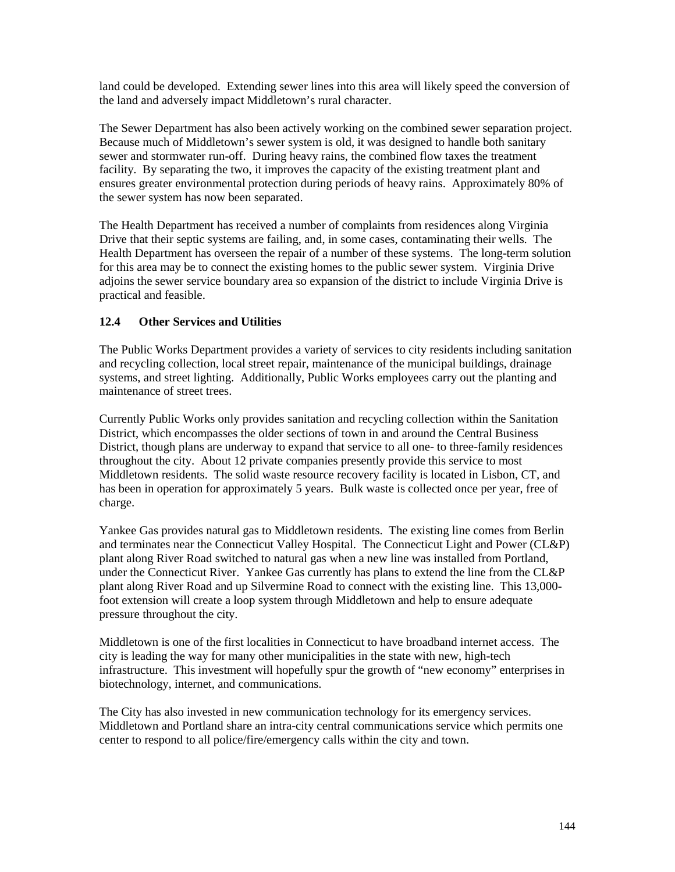land could be developed. Extending sewer lines into this area will likely speed the conversion of the land and adversely impact Middletown's rural character.

The Sewer Department has also been actively working on the combined sewer separation project. Because much of Middletown's sewer system is old, it was designed to handle both sanitary sewer and stormwater run-off. During heavy rains, the combined flow taxes the treatment facility. By separating the two, it improves the capacity of the existing treatment plant and ensures greater environmental protection during periods of heavy rains. Approximately 80% of the sewer system has now been separated.

The Health Department has received a number of complaints from residences along Virginia Drive that their septic systems are failing, and, in some cases, contaminating their wells. The Health Department has overseen the repair of a number of these systems. The long-term solution for this area may be to connect the existing homes to the public sewer system. Virginia Drive adjoins the sewer service boundary area so expansion of the district to include Virginia Drive is practical and feasible.

## **12.4 Other Services and Utilities**

The Public Works Department provides a variety of services to city residents including sanitation and recycling collection, local street repair, maintenance of the municipal buildings, drainage systems, and street lighting. Additionally, Public Works employees carry out the planting and maintenance of street trees.

Currently Public Works only provides sanitation and recycling collection within the Sanitation District, which encompasses the older sections of town in and around the Central Business District, though plans are underway to expand that service to all one- to three-family residences throughout the city. About 12 private companies presently provide this service to most Middletown residents. The solid waste resource recovery facility is located in Lisbon, CT, and has been in operation for approximately 5 years. Bulk waste is collected once per year, free of charge.

Yankee Gas provides natural gas to Middletown residents. The existing line comes from Berlin and terminates near the Connecticut Valley Hospital. The Connecticut Light and Power (CL&P) plant along River Road switched to natural gas when a new line was installed from Portland, under the Connecticut River. Yankee Gas currently has plans to extend the line from the CL&P plant along River Road and up Silvermine Road to connect with the existing line. This 13,000 foot extension will create a loop system through Middletown and help to ensure adequate pressure throughout the city.

Middletown is one of the first localities in Connecticut to have broadband internet access. The city is leading the way for many other municipalities in the state with new, high-tech infrastructure. This investment will hopefully spur the growth of "new economy" enterprises in biotechnology, internet, and communications.

The City has also invested in new communication technology for its emergency services. Middletown and Portland share an intra-city central communications service which permits one center to respond to all police/fire/emergency calls within the city and town.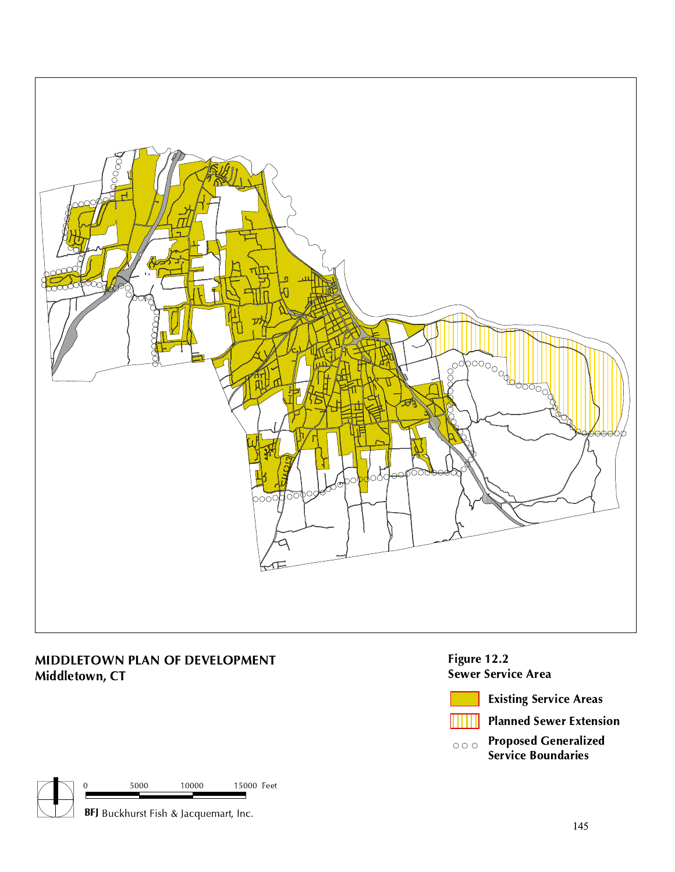

## MIDDLETOWN PLAN OF DEVELOPMENT Middletown, CT

Figure 12.2 Sewer Service Area



Existing Service Areas

Planned Sewer Extension

Proposed Generalized  $\circ \circ \circ$ Service Boundaries